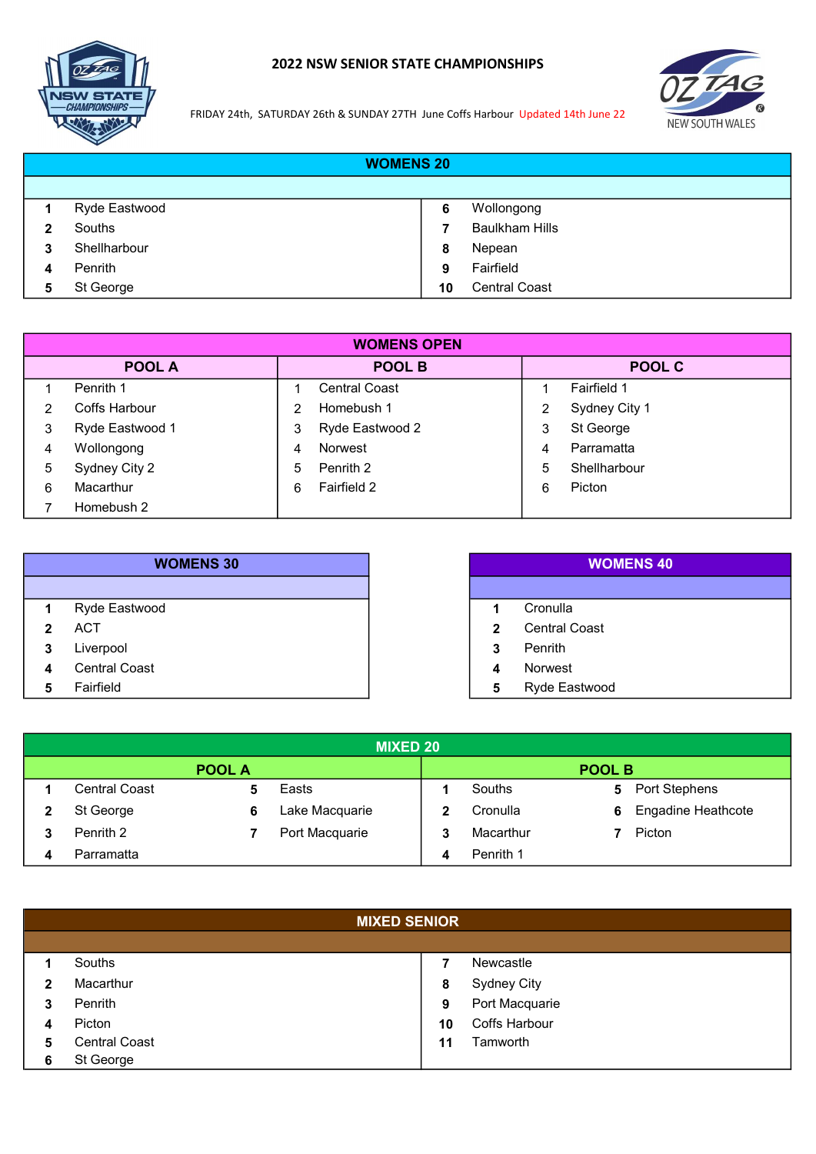

## 2022 NSW SENIOR STATE CHAMPIONSHIPS



FRIDAY 24th, SATURDAY 26th & SUNDAY 27TH June Coffs Harbour Updated 14th June 22

|   | <b>WOMENS 20</b> |    |                       |
|---|------------------|----|-----------------------|
|   |                  |    |                       |
|   | Ryde Eastwood    | 6  | Wollongong            |
| 2 | Souths           |    | <b>Baulkham Hills</b> |
| 3 | Shellharbour     | 8  | Nepean                |
|   | Penrith          | 9  | Fairfield             |
| 5 | St George        | 10 | <b>Central Coast</b>  |

|   | <b>WOMENS OPEN</b> |    |                      |   |               |  |
|---|--------------------|----|----------------------|---|---------------|--|
|   | <b>POOL A</b>      |    | POOL B               |   | <b>POOL C</b> |  |
|   | Penrith 1          |    | <b>Central Coast</b> |   | Fairfield 1   |  |
| 2 | Coffs Harbour      |    | Homebush 1           |   | Sydney City 1 |  |
| 3 | Ryde Eastwood 1    | 3  | Ryde Eastwood 2      | 3 | St George     |  |
| 4 | Wollongong         | 4  | Norwest              | 4 | Parramatta    |  |
| 5 | Sydney City 2      | 5. | Penrith 2            | 5 | Shellharbour  |  |
| 6 | Macarthur          | 6  | Fairfield 2          | 6 | Picton        |  |
|   | Homebush 2         |    |                      |   |               |  |

|              | <b>WOMENS 30</b>     |   |
|--------------|----------------------|---|
|              |                      |   |
| 1            | Ryde Eastwood        |   |
| $\mathbf{p}$ | <b>ACT</b>           | 2 |
| 3            | Liverpool            | 3 |
| Δ            | <b>Central Coast</b> |   |
| 5            | Fairfield            | 5 |

|              | <b>WOMENS 40</b> |
|--------------|------------------|
|              |                  |
| 1            | Cronulla         |
| $\mathbf{2}$ | Central Coast    |
| 3            | Penrith          |
| 4            | <b>Norwest</b>   |
| 5            | Ryde Eastwood    |

|                      |               | <b>MIXED 20</b> |   |           |               |                           |
|----------------------|---------------|-----------------|---|-----------|---------------|---------------------------|
|                      | <b>POOL A</b> |                 |   |           | <b>POOL B</b> |                           |
| <b>Central Coast</b> |               | Easts           |   | Souths    | 5             | <b>Port Stephens</b>      |
| St George            | 6             | Lake Macquarie  |   | Cronulla  | 6             | <b>Engadine Heathcote</b> |
| Penrith 2            |               | Port Macquarie  |   | Macarthur |               | Picton                    |
| Parramatta           |               |                 | 4 | Penrith 1 |               |                           |

|   | <b>MIXED SENIOR</b>  |    |                      |  |
|---|----------------------|----|----------------------|--|
|   |                      |    |                      |  |
|   | Souths               |    | Newcastle            |  |
|   | Macarthur            | 8  | <b>Sydney City</b>   |  |
| 3 | Penrith              | 9  | Port Macquarie       |  |
|   | Picton               | 10 | <b>Coffs Harbour</b> |  |
| 5 | <b>Central Coast</b> | 11 | Tamworth             |  |
| 6 | St George            |    |                      |  |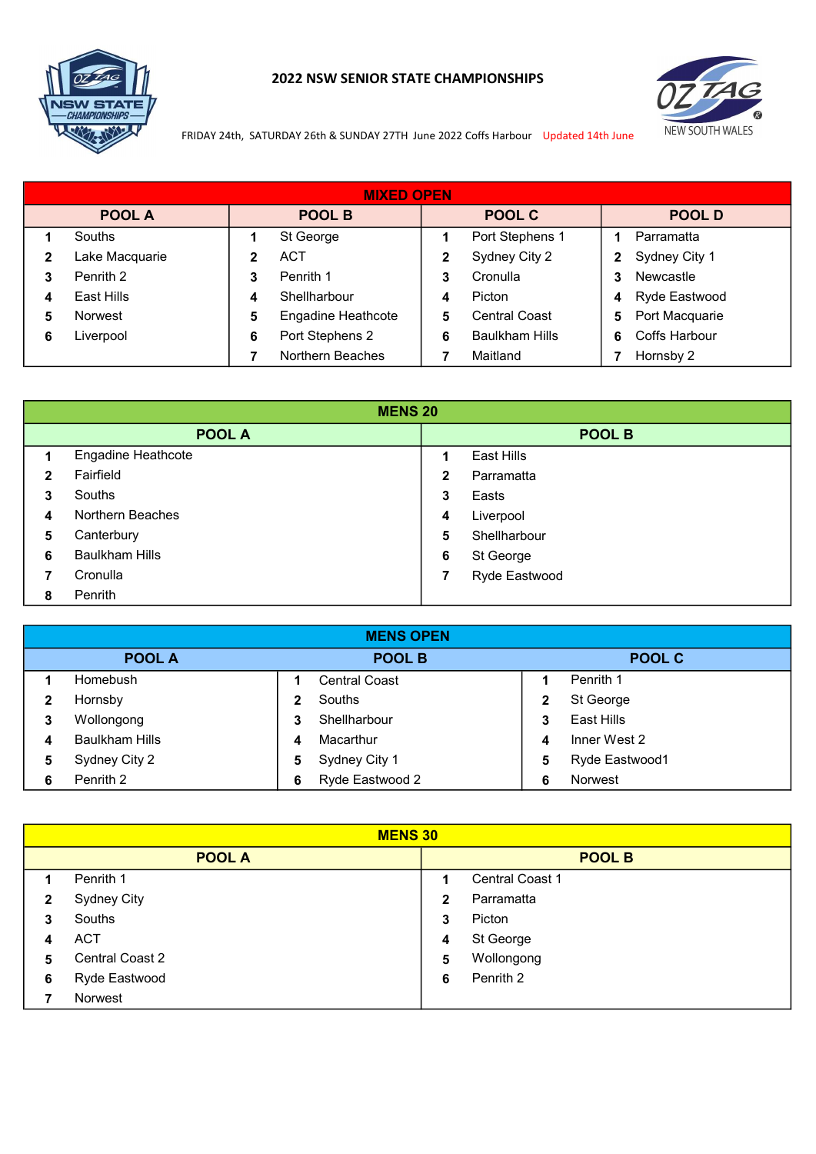

## 2022 NSW SENIOR STATE CHAMPIONSHIPS



FRIDAY 24th, SATURDAY 26th & SUNDAY 27TH June 2022 Coffs Harbour Updated 14th June

|   | <b>MIXED OPEN</b> |   |                           |   |                       |   |                |
|---|-------------------|---|---------------------------|---|-----------------------|---|----------------|
|   | <b>POOL A</b>     |   | POOL B                    |   | POOL C                |   | POOL D         |
|   | Souths            |   | St George                 |   | Port Stephens 1       |   | Parramatta     |
|   | Lake Macquarie    |   | ACT                       |   | Sydney City 2         | 2 | Sydney City 1  |
| 3 | Penrith 2         | 3 | Penrith 1                 | 3 | Cronulla              | 3 | Newcastle      |
|   | East Hills        | 4 | Shellharbour              | 4 | Picton                | 4 | Ryde Eastwood  |
| 5 | <b>Norwest</b>    | 5 | <b>Engadine Heathcote</b> | 5 | <b>Central Coast</b>  | 5 | Port Macquarie |
| 6 | Liverpool         | 6 | Port Stephens 2           | 6 | <b>Baulkham Hills</b> | 6 | Coffs Harbour  |
|   |                   |   | Northern Beaches          |   | Maitland              |   | Hornsby 2      |

|   | <b>MENS 20</b>            |              |               |
|---|---------------------------|--------------|---------------|
|   | POOL A                    |              | <b>POOL B</b> |
|   | <b>Engadine Heathcote</b> | 1            | East Hills    |
| 2 | Fairfield                 | $\mathbf{2}$ | Parramatta    |
| 3 | Souths                    | 3            | Easts         |
| 4 | Northern Beaches          | 4            | Liverpool     |
| 5 | Canterbury                | 5            | Shellharbour  |
| 6 | <b>Baulkham Hills</b>     | 6            | St George     |
|   | Cronulla                  | 7            | Ryde Eastwood |
| 8 | Penrith                   |              |               |

|   | <b>MENS OPEN</b>      |   |                      |   |                |
|---|-----------------------|---|----------------------|---|----------------|
|   | <b>POOL A</b>         |   | <b>POOL B</b>        |   | POOL C         |
|   | Homebush              |   | <b>Central Coast</b> |   | Penrith 1      |
|   | Hornsby               | 2 | Souths               | 2 | St George      |
| 3 | Wollongong            | 3 | Shellharbour         |   | East Hills     |
|   | <b>Baulkham Hills</b> | 4 | Macarthur            | 4 | Inner West 2   |
| 5 | Sydney City 2         | 5 | Sydney City 1        | 5 | Ryde Eastwood1 |
| 6 | Penrith 2             | 6 | Ryde Eastwood 2      | 6 | <b>Norwest</b> |

|             | <b>MENS 30</b>     |   |                        |  |  |
|-------------|--------------------|---|------------------------|--|--|
|             | <b>POOL A</b>      |   | <b>POOL B</b>          |  |  |
|             | Penrith 1          | 1 | <b>Central Coast 1</b> |  |  |
| $\mathbf 2$ | <b>Sydney City</b> | 2 | Parramatta             |  |  |
| 3           | Souths             | 3 | Picton                 |  |  |
| 4           | <b>ACT</b>         | 4 | St George              |  |  |
| 5           | Central Coast 2    | 5 | Wollongong             |  |  |
| 6           | Ryde Eastwood      | 6 | Penrith 2              |  |  |
|             | <b>Norwest</b>     |   |                        |  |  |